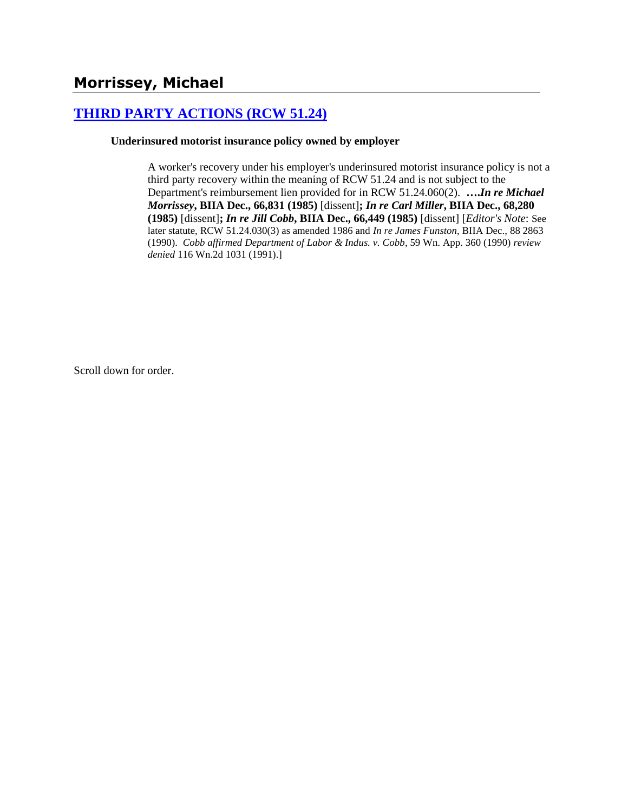# **[THIRD PARTY ACTIONS \(RCW 51.24\)](http://www.biia.wa.gov/SDSubjectIndex.html#THIRD_PARTY_ACTIONS)**

# **Underinsured motorist insurance policy owned by employer**

A worker's recovery under his employer's underinsured motorist insurance policy is not a third party recovery within the meaning of RCW 51.24 and is not subject to the Department's reimbursement lien provided for in RCW 51.24.060(2). **….***In re Michael Morrissey***, BIIA Dec., 66,831 (1985)** [dissent]**;** *In re Carl Miller***, BIIA Dec., 68,280 (1985)** [dissent]**;** *In re Jill Cobb***, BIIA Dec., 66,449 (1985)** [dissent] [*Editor's Note*: See later statute, RCW 51.24.030(3) as amended 1986 and *In re James Funston*, BIIA Dec., 88 2863 (1990). *Cobb affirmed Department of Labor & Indus. v. Cobb*, 59 Wn. App. 360 (1990) *review denied* 116 Wn.2d 1031 (1991).]

Scroll down for order.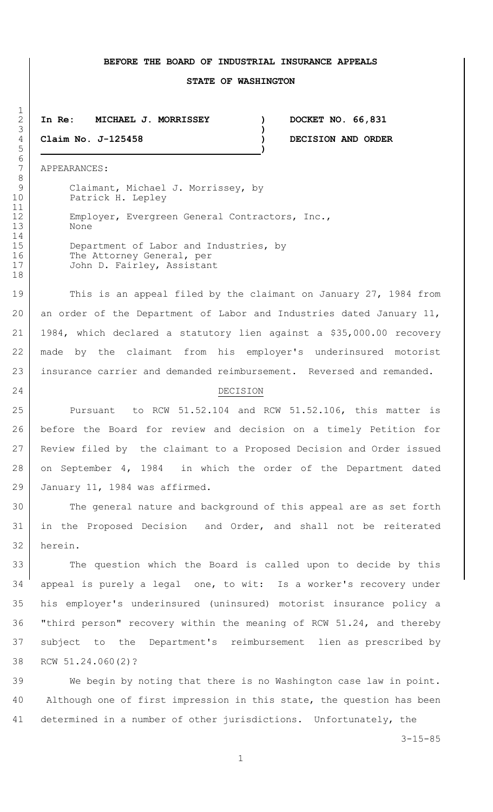#### **BEFORE THE BOARD OF INDUSTRIAL INSURANCE APPEALS**

#### **STATE OF WASHINGTON**

# 2 **In Re: MICHAEL J. MORRISSEY ) DOCKET NO. 66,831**

3 **)**

5 **)**

4 **Claim No. J-125458 ) DECISION AND ORDER**

7 APPEARANCES:

9 | Claimant, Michael J. Morrissey, by 10 Patrick H. Lepley

12 Employer, Evergreen General Contractors, Inc., 13 None

15 Department of Labor and Industries, by 16 The Attorney General, per 17 John D. Fairley, Assistant

19 This is an appeal filed by the claimant on January 27, 1984 from 20 an order of the Department of Labor and Industries dated January 11, 21 1984, which declared a statutory lien against a \$35,000.00 recovery 22 made by the claimant from his employer's underinsured motorist 23 insurance carrier and demanded reimbursement. Reversed and remanded.

### 24 DECISION

 Pursuant to RCW 51.52.104 and RCW 51.52.106, this matter is before the Board for review and decision on a timely Petition for Review filed by the claimant to a Proposed Decision and Order issued on September 4, 1984 in which the order of the Department dated January 11, 1984 was affirmed.

30 The general nature and background of this appeal are as set forth 31 in the Proposed Decision and Order, and shall not be reiterated 32 herein.

33 The question which the Board is called upon to decide by this appeal is purely a legal one, to wit: Is a worker's recovery under his employer's underinsured (uninsured) motorist insurance policy a "third person" recovery within the meaning of RCW 51.24, and thereby subject to the Department's reimbursement lien as prescribed by RCW 51.24.060(2)?

39 We begin by noting that there is no Washington case law in point. 40 Although one of first impression in this state, the question has been 41 determined in a number of other jurisdictions. Unfortunately, the

3-15-85

 $\frac{1}{2}$ 

6<br>7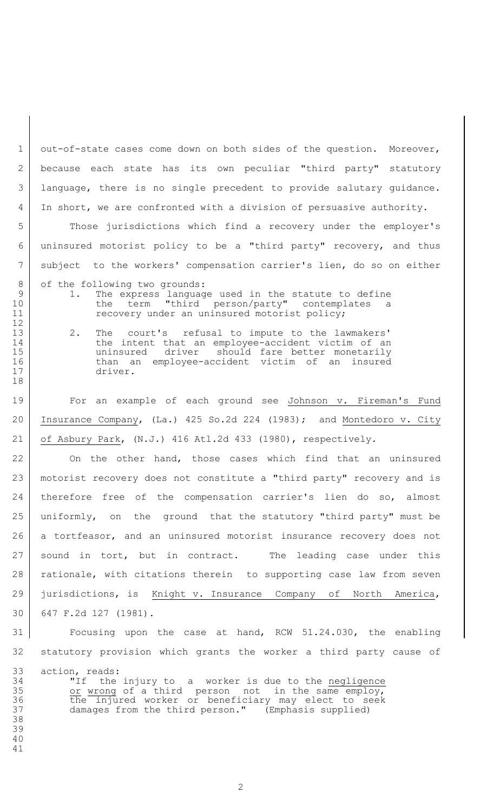1 out-of-state cases come down on both sides of the question. Moreover, 2 because each state has its own peculiar "third party" statutory 3 | language, there is no single precedent to provide salutary guidance. 4 In short, we are confronted with a division of persuasive authority.

5 | Those jurisdictions which find a recovery under the employer's 6 uninsured motorist policy to be a "third party" recovery, and thus 7 subject to the workers' compensation carrier's lien, do so on either

8 of the following two grounds:

12

18

9 1. The express language used in the statute to define 10 the term "third person/party" contemplates a 11 | The recovery under an uninsured motorist policy;

13 2. The court's refusal to impute to the lawmakers' 14 the intent that an employee-accident victim of an 15 uninsured driver should fare better monetarily 16 than an employee-accident victim of an insured 17 driver.

19 For an example of each ground see Johnson v. Fireman's Fund 20 Insurance Company, (La.) 425 So.2d 224 (1983); and Montedoro v. City 21 of Asbury Park, (N.J.) 416 Atl.2d 433 (1980), respectively.

22 On the other hand, those cases which find that an uninsured 23 motorist recovery does not constitute a "third party" recovery and is 24 | therefore free of the compensation carrier's lien do so, almost 25 | uniformly, on the ground that the statutory "third party" must be 26 a tortfeasor, and an uninsured motorist insurance recovery does not 27 | sound in tort, but in contract. The leading case under this 28 | rationale, with citations therein to supporting case law from seven 29 jurisdictions, is Knight v. Insurance Company of North America, 30 647 F.2d 127 (1981).

31 Focusing upon the case at hand, RCW 51.24.030, the enabling 32 statutory provision which grants the worker a third party cause of

33 action, reads:<br>34 TIf the 34 "If the injury to a worker is due to the negligence 35 or wrong of a third person not in the same employ, 36 the injured worker or beneficiary may elect to seek 37 damages from the third person." (Emphasis supplied)

- 38 39 40
- 41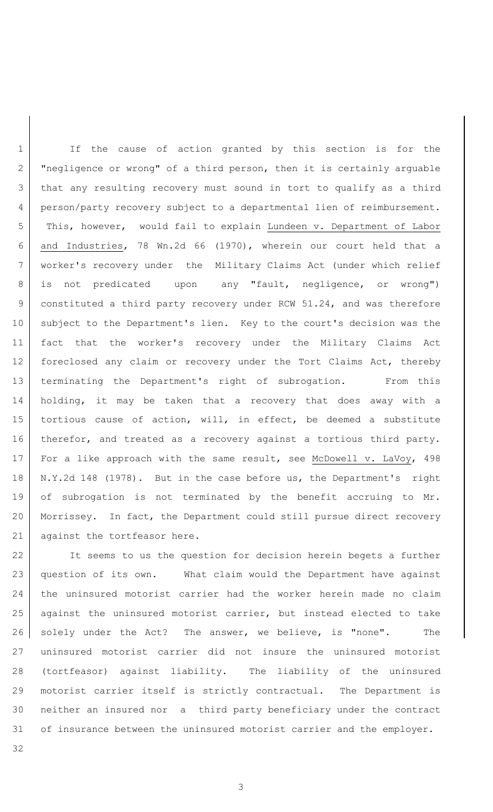1 | If the cause of action granted by this section is for the 2 "negligence or wrong" of a third person, then it is certainly arguable 3 | that any resulting recovery must sound in tort to qualify as a third 4 person/party recovery subject to a departmental lien of reimbursement. 5 | This, however, would fail to explain Lundeen v. Department of Labor 6 and Industries, 78 Wn.2d 66 (1970), wherein our court held that a 7 worker's recovery under the Military Claims Act (under which relief 8 is not predicated upon any "fault, negligence, or wrong") 9 constituted a third party recovery under RCW 51.24, and was therefore 10 | subject to the Department's lien. Key to the court's decision was the 11 fact that the worker's recovery under the Military Claims Act 12 | foreclosed any claim or recovery under the Tort Claims Act, thereby 13 | terminating the Department's right of subrogation. From this 14 holding, it may be taken that a recovery that does away with a 15 | tortious cause of action, will, in effect, be deemed a substitute 16 | therefor, and treated as a recovery against a tortious third party. 17 | For a like approach with the same result, see McDowell v. LaVoy, 498 18 | N.Y.2d 148 (1978). But in the case before us, the Department's right 19 of subrogation is not terminated by the benefit accruing to Mr. 20 Morrissey. In fact, the Department could still pursue direct recovery 21 against the tortfeasor here.

22 I It seems to us the question for decision herein begets a further 23 question of its own. What claim would the Department have against 24 the uninsured motorist carrier had the worker herein made no claim 25 against the uninsured motorist carrier, but instead elected to take 26 | solely under the Act? The answer, we believe, is "none". The 27 uninsured motorist carrier did not insure the uninsured motorist 28 (tortfeasor) against liability. The liability of the uninsured 29 motorist carrier itself is strictly contractual. The Department is 30 neither an insured nor a third party beneficiary under the contract 31 of insurance between the uninsured motorist carrier and the employer. 32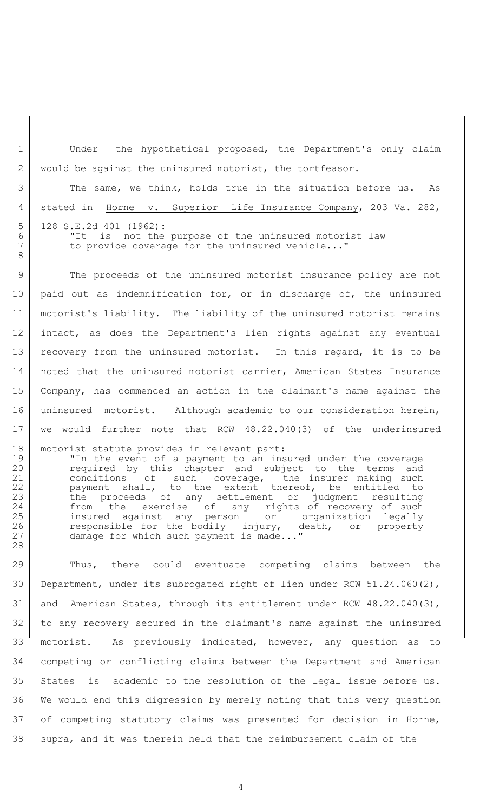1 | Under the hypothetical proposed, the Department's only claim 2 would be against the uninsured motorist, the tortfeasor. 3 The same, we think, holds true in the situation before us. As 4 stated in Horne v. Superior Life Insurance Company, 203 Va. 282, 5 128 S.E.2d 401 (1962):<br>6 TIt is not the 6 "It is not the purpose of the uninsured motorist law

7 to provide coverage for the uninsured vehicle..."

8

28

9 The proceeds of the uninsured motorist insurance policy are not 10 | paid out as indemnification for, or in discharge of, the uninsured 11 motorist's liability. The liability of the uninsured motorist remains 12 intact, as does the Department's lien rights against any eventual 13 | recovery from the uninsured motorist. In this regard, it is to be 14 | noted that the uninsured motorist carrier, American States Insurance 15 Company, has commenced an action in the claimant's name against the 16 | uninsured motorist. Although academic to our consideration herein, 17 we would further note that RCW 48.22.040(3) of the underinsured

18 motorist statute provides in relevant part: 19 | "In the event of a payment to an insured under the coverage 20 **1** required by this chapter and subject to the terms and conditions of such coverage, the insurer making such 21 conditions of such coverage, the insurer making such 22 | payment shall, to the extent thereof, be entitled to 23 bildee proceeds of any settlement or judgment resulting<br>24 from the exercise of any rights of recovery of such 24 from the exercise of any rights of recovery of such 25 insured against any person or organization legally 26 responsible for the bodily injury, death, or property 27 damage for which such payment is made..."

29 Thus, there could eventuate competing claims between the Department, under its subrogated right of lien under RCW 51.24.060(2), and American States, through its entitlement under RCW 48.22.040(3), to any recovery secured in the claimant's name against the uninsured motorist. As previously indicated, however, any question as to competing or conflicting claims between the Department and American States is academic to the resolution of the legal issue before us. We would end this digression by merely noting that this very question of competing statutory claims was presented for decision in Horne, supra, and it was therein held that the reimbursement claim of the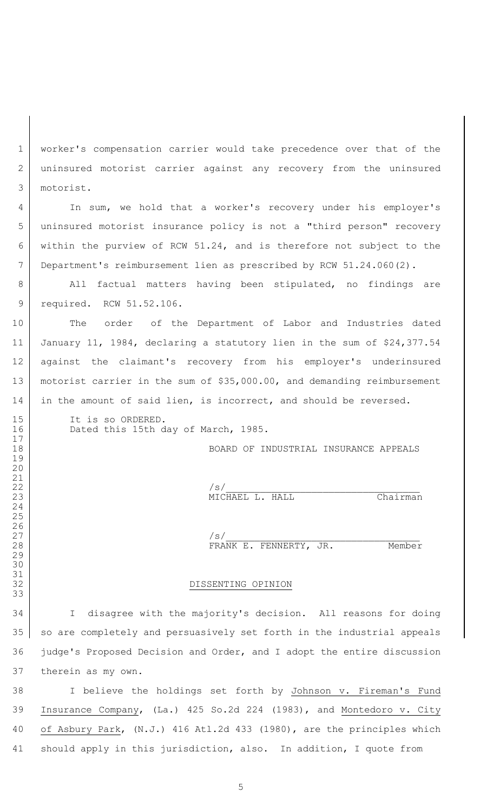1 | worker's compensation carrier would take precedence over that of the uninsured motorist carrier against any recovery from the uninsured motorist.

4 | In sum, we hold that a worker's recovery under his employer's uninsured motorist insurance policy is not a "third person" recovery 6 within the purview of RCW 51.24, and is therefore not subject to the Department's reimbursement lien as prescribed by RCW 51.24.060(2).

8 | All factual matters having been stipulated, no findings are 9 required. RCW 51.52.106.

10 | The order of the Department of Labor and Industries dated January 11, 1984, declaring a statutory lien in the sum of \$24,377.54 against the claimant's recovery from his employer's underinsured motorist carrier in the sum of \$35,000.00, and demanding reimbursement 14 in the amount of said lien, is incorrect, and should be reversed.

15 It is so ORDERED. 16 Dated this 15th day of March, 1985.

 $\begin{array}{c} 17 \\ 18 \end{array}$ 

 

21<br>22<br>23

 

<br> $28$ 

 31<br>32

BOARD OF INDUSTRIAL INSURANCE APPEALS

 $\vert$ MICHAEL L. HALL Chairman

 $\vert$ FRANK E. FENNERTY, JR. Member

## DISSENTING OPINION

 I disagree with the majority's decision. All reasons for doing 35 so are completely and persuasively set forth in the industrial appeals judge's Proposed Decision and Order, and I adopt the entire discussion therein as my own.

 I believe the holdings set forth by Johnson v. Fireman's Fund Insurance Company, (La.) 425 So.2d 224 (1983), and Montedoro v. City of Asbury Park, (N.J.) 416 Atl.2d 433 (1980), are the principles which should apply in this jurisdiction, also. In addition, I quote from